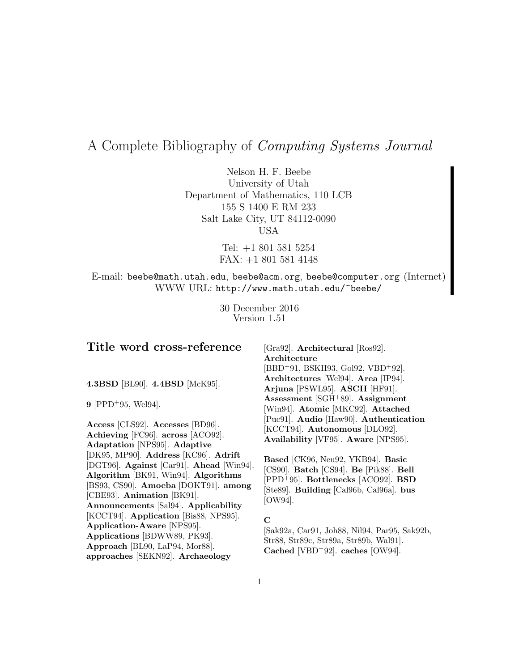# A Complete Bibliography of Computing Systems Journal

Nelson H. F. Beebe University of Utah Department of Mathematics, 110 LCB 155 S 1400 E RM 233 Salt Lake City, UT 84112-0090 USA

> Tel: +1 801 581 5254 FAX: +1 801 581 4148

E-mail: beebe@math.utah.edu, beebe@acm.org, beebe@computer.org (Internet) WWW URL: http://www.math.utah.edu/~beebe/

> 30 December 2016 Version 1.51

## **Title word cross-reference**

**4.3BSD** [BL90]. **4.4BSD** [McK95].

**9** [PPD<sup>+</sup>95, Wel94].

**Access** [CLS92]. **Accesses** [BD96]. **Achieving** [FC96]. **across** [ACO92]. **Adaptation** [NPS95]. **Adaptive** [DK95, MP90]. **Address** [KC96]. **Adrift** [DGT96]. **Against** [Car91]. **Ahead** [Win94]. **Algorithm** [BK91, Win94]. **Algorithms** [BS93, CS90]. **Amoeba** [DOKT91]. **among** [CBE93]. **Animation** [BK91]. **Announcements** [Sal94]. **Applicability** [KCCT94]. **Application** [Bis88, NPS95]. **Application-Aware** [NPS95]. **Applications** [BDWW89, PK93]. **Approach** [BL90, LaP94, Mor88]. **approaches** [SEKN92]. **Archaeology**

[Gra92]. **Architectural** [Ros92]. **Architecture** [BBD<sup>+</sup>91, BSKH93, Gol92, VBD<sup>+</sup>92]. **Architectures** [Wel94]. **Area** [IP94]. **Arjuna** [PSWL95]. **ASCII** [HF91]. **Assessment** [SGH<sup>+</sup>89]. **Assignment** [Win94]. **Atomic** [MKC92]. **Attached** [Puc91]. **Audio** [Haw90]. **Authentication** [KCCT94]. **Autonomous** [DLO92]. **Availability** [VF95]. **Aware** [NPS95].

**Based** [CK96, Neu92, YKB94]. **Basic** [CS90]. **Batch** [CS94]. **Be** [Pik88]. **Bell** [PPD<sup>+</sup>95]. **Bottlenecks** [ACO92]. **BSD** [Ste89]. **Building** [Cal96b, Cal96a]. **bus** [OW94].

#### **C**

[Sak92a, Car91, Joh88, Nil94, Par95, Sak92b, Str88, Str89c, Str89a, Str89b, Wal91]. **Cached** [VBD<sup>+</sup>92]. **caches** [OW94].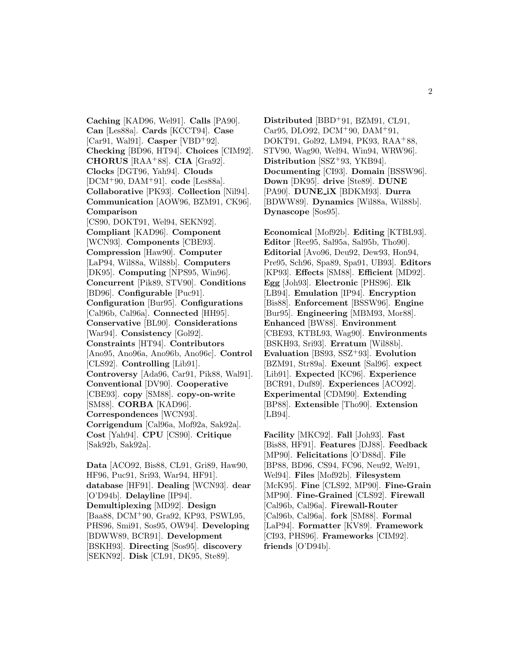**Caching** [KAD96, Wel91]. **Calls** [PA90]. **Can** [Les88a]. **Cards** [KCCT94]. **Case** [Car91, Wal91]. **Casper** [VBD<sup>+</sup>92]. **Checking** [BD96, HT94]. **Choices** [CIM92]. **CHORUS** [RAA<sup>+</sup>88]. **CIA** [Gra92]. **Clocks** [DGT96, Yah94]. **Clouds** [DCM<sup>+</sup>90, DAM<sup>+</sup>91]. **code** [Les88a]. **Collaborative** [PK93]. **Collection** [Nil94]. **Communication** [AOW96, BZM91, CK96]. **Comparison** [CS90, DOKT91, Wel94, SEKN92]. **Compliant** [KAD96]. **Component** [WCN93]. **Components** [CBE93]. **Compression** [Haw90]. **Computer** [LaP94, Wil88a, Wil88b]. **Computers** [DK95]. **Computing** [NPS95, Win96]. **Concurrent** [Pik89, STV90]. **Conditions** [BD96]. **Configurable** [Puc91]. **Configuration** [Bur95]. **Configurations** [Cal96b, Cal96a]. **Connected** [HH95]. **Conservative** [BL90]. **Considerations** [War94]. **Consistency** [Gol92]. **Constraints** [HT94]. **Contributors** [Ano95, Ano96a, Ano96b, Ano96c]. **Control** [CLS92]. **Controlling** [Lib91]. **Controversy** [Ada96, Car91, Pik88, Wal91]. **Conventional** [DV90]. **Cooperative** [CBE93]. **copy** [SM88]. **copy-on-write** [SM88]. **CORBA** [KAD96]. **Correspondences** [WCN93]. **Corrigendum** [Cal96a, Mof92a, Sak92a]. **Cost** [Yah94]. **CPU** [CS90]. **Critique** [Sak92b, Sak92a].

**Data** [ACO92, Bis88, CL91, Gri89, Haw90, HF96, Puc91, Sri93, War94, HF91]. **database** [HF91]. **Dealing** [WCN93]. **dear** [O'D94b]. **Delayline** [IP94]. **Demultiplexing** [MD92]. **Design** [Baa88, DCM<sup>+</sup>90, Gra92, KP93, PSWL95, PHS96, Smi91, Sos95, OW94]. **Developing** [BDWW89, BCR91]. **Development** [BSKH93]. **Directing** [Sos95]. **discovery** [SEKN92]. **Disk** [CL91, DK95, Ste89].

**Distributed** [BBD<sup>+</sup>91, BZM91, CL91, Car95, DLO92, DCM<sup>+</sup>90, DAM<sup>+</sup>91, DOKT91, Gol92, LM94, PK93, RAA<sup>+</sup>88, STV90, Wag90, Wel94, Win94, WRW96]. **Distribution** [SSZ<sup>+</sup>93, YKB94]. **Documenting** [CI93]. **Domain** [BSSW96]. **Down** [DK95]. **drive** [Ste89]. **DUNE** [PA90]. **DUNE iX** [BDKM93]. **Durra** [BDWW89]. **Dynamics** [Wil88a, Wil88b]. **Dynascope** [Sos95].

**Economical** [Mof92b]. **Editing** [KTBL93]. **Editor** [Ree95, Sal95a, Sal95b, Tho90]. **Editorial** [Avo96, Deu92, Dew93, Hon94, Pre95, Sch96, Spa89, Spa91, UB93]. **Editors** [KP93]. **Effects** [SM88]. **Efficient** [MD92]. **Egg** [Joh93]. **Electronic** [PHS96]. **Elk** [LB94]. **Emulation** [IP94]. **Encryption** [Bis88]. **Enforcement** [BSSW96]. **Engine** [Bur95]. **Engineering** [MBM93, Mor88]. **Enhanced** [BW88]. **Environment** [CBE93, KTBL93, Wag90]. **Environments** [BSKH93, Sri93]. **Erratum** [Wil88b]. **Evaluation** [BS93, SSZ<sup>+</sup>93]. **Evolution** [BZM91, Str89a]. **Exeunt** [Sal96]. **expect** [Lib91]. **Expected** [KC96]. **Experience** [BCR91, Duf89]. **Experiences** [ACO92]. **Experimental** [CDM90]. **Extending** [BP88]. **Extensible** [Tho90]. **Extension** [LB94].

**Facility** [MKC92]. **Fall** [Joh93]. **Fast** [Bis88, HF91]. **Features** [DJ88]. **Feedback** [MP90]. **Felicitations** [O'D88d]. **File** [BP88, BD96, CS94, FC96, Neu92, Wel91, Wel94]. **Files** [Mof92b]. **Filesystem** [McK95]. **Fine** [CLS92, MP90]. **Fine-Grain** [MP90]. **Fine-Grained** [CLS92]. **Firewall** [Cal96b, Cal96a]. **Firewall-Router** [Cal96b, Cal96a]. **fork** [SM88]. **Formal** [LaP94]. **Formatter** [KV89]. **Framework** [CI93, PHS96]. **Frameworks** [CIM92]. **friends** [O'D94b].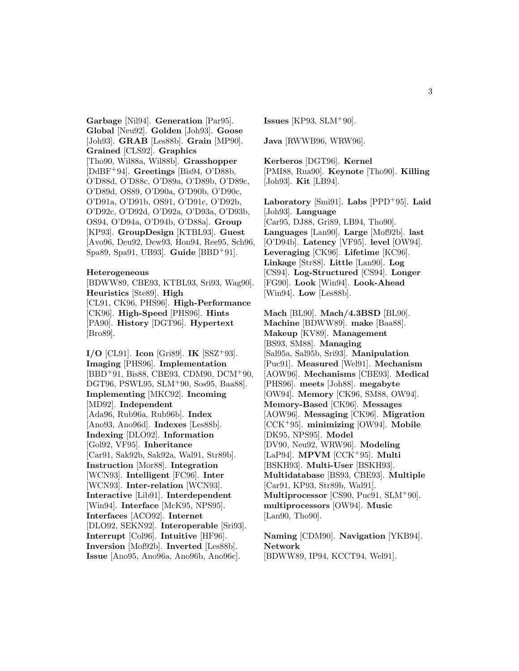**Garbage** [Nil94]. **Generation** [Par95]. **Global** [Neu92]. **Golden** [Joh93]. **Goose** [Joh93]. **GRAB** [Les88b]. **Grain** [MP90]. **Grained** [CLS92]. **Graphics** [Tho90, Wil88a, Wil88b]. **Grasshopper** [DdBF<sup>+</sup>94]. **Greetings** [Bis94, O'D88b, O'D88d, O'D88c, O'D89a, O'D89b, O'D89c, O'D89d, OS89, O'D90a, O'D90b, O'D90c, O'D91a, O'D91b, OS91, O'D91c, O'D92b, O'D92c, O'D92d, O'D92a, O'D93a, O'D93b, OS94, O'D94a, O'D94b, O'D88a]. **Group** [KP93]. **GroupDesign** [KTBL93]. **Guest** [Avo96, Deu92, Dew93, Hon94, Ree95, Sch96, Spa89, Spa91, UB93]. **Guide** [BBD<sup>+</sup>91].

#### **Heterogeneous**

[BDWW89, CBE93, KTBL93, Sri93, Wag90]. **Heuristics** [Ste89]. **High** [CL91, CK96, PHS96]. **High-Performance** [CK96]. **High-Speed** [PHS96]. **Hints** [PA90]. **History** [DGT96]. **Hypertext** [Bro89].

**I/O** [CL91]. **Icon** [Gri89]. **IK** [SSZ<sup>+</sup>93]. **Imaging** [PHS96]. **Implementation** [BBD<sup>+</sup>91, Bis88, CBE93, CDM90, DCM<sup>+</sup>90, DGT96, PSWL95, SLM<sup>+</sup>90, Sos95, Baa88]. **Implementing** [MKC92]. **Incoming** [MD92]. **Independent** [Ada96, Rub96a, Rub96b]. **Index** [Ano93, Ano96d]. **Indexes** [Les88b]. **Indexing** [DLO92]. **Information** [Gol92, VF95]. **Inheritance** [Car91, Sak92b, Sak92a, Wal91, Str89b]. **Instruction** [Mor88]. **Integration** [WCN93]. **Intelligent** [FC96]. **Inter** [WCN93]. **Inter-relation** [WCN93]. **Interactive** [Lib91]. **Interdependent** [Win94]. **Interface** [McK95, NPS95]. **Interfaces** [ACO92]. **Internet** [DLO92, SEKN92]. **Interoperable** [Sri93]. **Interrupt** [Col96]. **Intuitive** [HF96]. **Inversion** [Mof92b]. **Inverted** [Les88b]. **Issue** [Ano95, Ano96a, Ano96b, Ano96c].

**Issues** [KP93, SLM<sup>+</sup>90].

**Java** [RWWB96, WRW96].

**Kerberos** [DGT96]. **Kernel** [PMI88, Rua90]. **Keynote** [Tho90]. **Killing** [Joh93]. **Kit** [LB94].

**Laboratory** [Smi91]. **Labs** [PPD<sup>+</sup>95]. **Laid** [Joh93]. **Language** [Car95, DJ88, Gri89, LB94, Tho90]. **Languages** [Lan90]. **Large** [Mof92b]. **last** [O'D94b]. **Latency** [VF95]. **level** [OW94]. **Leveraging** [CK96]. **Lifetime** [KC96]. **Linkage** [Str88]. **Little** [Lan90]. **Log** [CS94]. **Log-Structured** [CS94]. **Longer** [FG90]. **Look** [Win94]. **Look-Ahead** [Win94]. **Low** [Les88b].

**Mach** [BL90]. **Mach/4.3BSD** [BL90]. **Machine** [BDWW89]. **make** [Baa88]. **Makeup** [KV89]. **Management** [BS93, SM88]. **Managing** [Sal95a, Sal95b, Sri93]. **Manipulation** [Puc91]. **Measured** [Wel91]. **Mechanism** [AOW96]. **Mechanisms** [CBE93]. **Medical** [PHS96]. **meets** [Joh88]. **megabyte** [OW94]. **Memory** [CK96, SM88, OW94]. **Memory-Based** [CK96]. **Messages** [AOW96]. **Messaging** [CK96]. **Migration** [CCK<sup>+</sup>95]. **minimizing** [OW94]. **Mobile** [DK95, NPS95]. **Model** [DV90, Neu92, WRW96]. **Modeling** [LaP94]. **MPVM** [CCK<sup>+</sup>95]. **Multi** [BSKH93]. **Multi-User** [BSKH93]. **Multidatabase** [BS93, CBE93]. **Multiple** [Car91, KP93, Str89b, Wal91]. **Multiprocessor** [CS90, Puc91, SLM<sup>+</sup>90]. **multiprocessors** [OW94]. **Music** [Lan90, Tho90].

**Naming** [CDM90]. **Navigation** [YKB94]. **Network** [BDWW89, IP94, KCCT94, Wel91].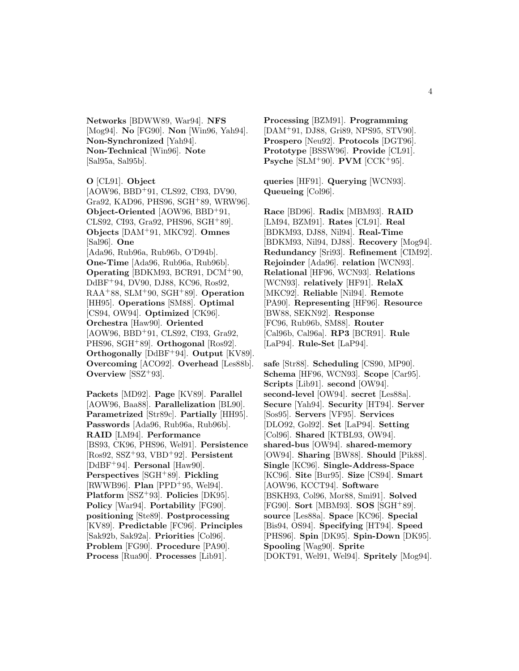**Networks** [BDWW89, War94]. **NFS** [Mog94]. **No** [FG90]. **Non** [Win96, Yah94]. **Non-Synchronized** [Yah94]. **Non-Technical** [Win96]. **Note** [Sal95a, Sal95b].

#### **O** [CL91]. **Object**

[AOW96, BBD<sup>+</sup>91, CLS92, CI93, DV90, Gra92, KAD96, PHS96, SGH<sup>+</sup>89, WRW96]. **Object-Oriented** [AOW96, BBD<sup>+</sup>91, CLS92, CI93, Gra92, PHS96, SGH<sup>+</sup>89]. **Objects** [DAM<sup>+</sup>91, MKC92]. **Omnes** [Sal96]. **One** [Ada96, Rub96a, Rub96b, O'D94b]. **One-Time** [Ada96, Rub96a, Rub96b]. **Operating** [BDKM93, BCR91, DCM<sup>+</sup>90, DdBF<sup>+</sup>94, DV90, DJ88, KC96, Ros92, RAA<sup>+</sup>88, SLM<sup>+</sup>90, SGH<sup>+</sup>89]. **Operation** [HH95]. **Operations** [SM88]. **Optimal** [CS94, OW94]. **Optimized** [CK96]. **Orchestra** [Haw90]. **Oriented** [AOW96, BBD<sup>+</sup>91, CLS92, CI93, Gra92, PHS96, SGH<sup>+</sup>89]. **Orthogonal** [Ros92]. **Orthogonally** [DdBF<sup>+</sup>94]. **Output** [KV89]. **Overcoming** [ACO92]. **Overhead** [Les88b]. **Overview** [SSZ<sup>+</sup>93].

**Packets** [MD92]. **Page** [KV89]. **Parallel** [AOW96, Baa88]. **Parallelization** [BL90]. **Parametrized** [Str89c]. **Partially** [HH95]. **Passwords** [Ada96, Rub96a, Rub96b]. **RAID** [LM94]. **Performance** [BS93, CK96, PHS96, Wel91]. **Persistence** [Ros92, SSZ<sup>+</sup>93, VBD<sup>+</sup>92]. **Persistent** [DdBF<sup>+</sup>94]. **Personal** [Haw90]. **Perspectives** [SGH<sup>+</sup>89]. **Pickling** [RWWB96]. **Plan** [PPD<sup>+</sup>95, Wel94]. **Platform** [SSZ<sup>+</sup>93]. **Policies** [DK95]. **Policy** [War94]. **Portability** [FG90]. **positioning** [Ste89]. **Postprocessing** [KV89]. **Predictable** [FC96]. **Principles** [Sak92b, Sak92a]. **Priorities** [Col96]. **Problem** [FG90]. **Procedure** [PA90]. **Process** [Rua90]. **Processes** [Lib91].

**Processing** [BZM91]. **Programming** [DAM<sup>+</sup>91, DJ88, Gri89, NPS95, STV90]. **Prospero** [Neu92]. **Protocols** [DGT96]. **Prototype** [BSSW96]. **Provide** [CL91]. **Psyche** [SLM<sup>+</sup>90]. **PVM** [CCK<sup>+</sup>95].

**queries** [HF91]. **Querying** [WCN93]. **Queueing** [Col96].

**Race** [BD96]. **Radix** [MBM93]. **RAID** [LM94, BZM91]. **Rates** [CL91]. **Real** [BDKM93, DJ88, Nil94]. **Real-Time** [BDKM93, Nil94, DJ88]. **Recovery** [Mog94]. **Redundancy** [Sri93]. **Refinement** [CIM92]. **Rejoinder** [Ada96]. **relation** [WCN93]. **Relational** [HF96, WCN93]. **Relations** [WCN93]. **relatively** [HF91]. **RelaX** [MKC92]. **Reliable** [Nil94]. **Remote** [PA90]. **Representing** [HF96]. **Resource** [BW88, SEKN92]. **Response** [FC96, Rub96b, SM88]. **Router** [Cal96b, Cal96a]. **RP3** [BCR91]. **Rule** [LaP94]. **Rule-Set** [LaP94].

**safe** [Str88]. **Scheduling** [CS90, MP90]. **Schema** [HF96, WCN93]. **Scope** [Car95]. **Scripts** [Lib91]. **second** [OW94]. **second-level** [OW94]. **secret** [Les88a]. **Secure** [Yah94]. **Security** [HT94]. **Server** [Sos95]. **Servers** [VF95]. **Services** [DLO92, Gol92]. **Set** [LaP94]. **Setting** [Col96]. **Shared** [KTBL93, OW94]. **shared-bus** [OW94]. **shared-memory** [OW94]. **Sharing** [BW88]. **Should** [Pik88]. **Single** [KC96]. **Single-Address-Space** [KC96]. **Site** [Bur95]. **Size** [CS94]. **Smart** [AOW96, KCCT94]. **Software** [BSKH93, Col96, Mor88, Smi91]. **Solved** [FG90]. **Sort** [MBM93]. **SOS** [SGH<sup>+</sup>89]. **source** [Les88a]. **Space** [KC96]. **Special** [Bis94, OS94]. **Specifying** [HT94]. **Speed** [PHS96]. **Spin** [DK95]. **Spin-Down** [DK95]. **Spooling** [Wag90]. **Sprite** [DOKT91, Wel91, Wel94]. **Spritely** [Mog94].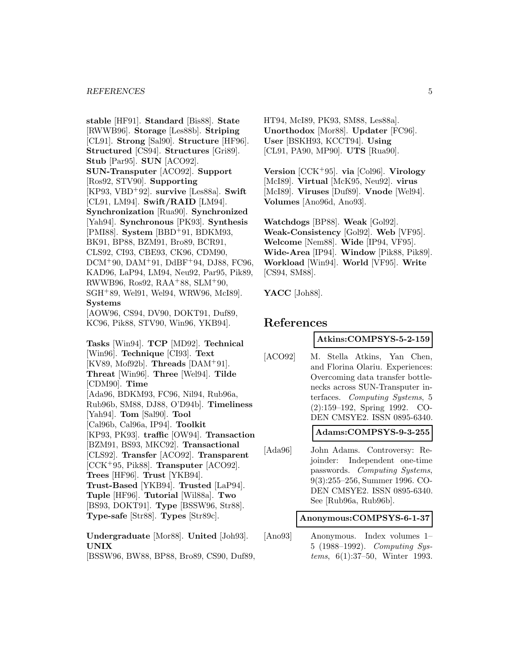#### *REFERENCES* 5

**stable** [HF91]. **Standard** [Bis88]. **State** [RWWB96]. **Storage** [Les88b]. **Striping** [CL91]. **Strong** [Sal90]. **Structure** [HF96]. **Structured** [CS94]. **Structures** [Gri89]. **Stub** [Par95]. **SUN** [ACO92]. **SUN-Transputer** [ACO92]. **Support** [Ros92, STV90]. **Supporting** [KP93, VBD<sup>+</sup>92]. **survive** [Les88a]. **Swift** [CL91, LM94]. **Swift/RAID** [LM94]. **Synchronization** [Rua90]. **Synchronized** [Yah94]. **Synchronous** [PK93]. **Synthesis** [PMI88]. **System** [BBD<sup>+</sup>91, BDKM93, BK91, BP88, BZM91, Bro89, BCR91, CLS92, CI93, CBE93, CK96, CDM90, DCM<sup>+</sup>90, DAM<sup>+</sup>91, DdBF<sup>+</sup>94, DJ88, FC96, KAD96, LaP94, LM94, Neu92, Par95, Pik89, RWWB96, Ros92, RAA<sup>+</sup>88, SLM<sup>+</sup>90, SGH<sup>+</sup>89, Wel91, Wel94, WRW96, McI89]. **Systems** [AOW96, CS94, DV90, DOKT91, Duf89, KC96, Pik88, STV90, Win96, YKB94]. **Tasks** [Win94]. **TCP** [MD92]. **Technical** [Win96]. **Technique** [CI93]. **Text** [KV89, Mof92b]. **Threads** [DAM<sup>+</sup>91]. **Threat** [Win96]. **Three** [Wel94]. **Tilde** [CDM90]. **Time** [Ada96, BDKM93, FC96, Nil94, Rub96a, Rub96b, SM88, DJ88, O'D94b]. **Timeliness** [Yah94]. **Tom** [Sal90]. **Tool** [Cal96b, Cal96a, IP94]. **Toolkit** [KP93, PK93]. **traffic** [OW94]. **Transaction** [BZM91, BS93, MKC92]. **Transactional** [CLS92]. **Transfer** [ACO92]. **Transparent** [CCK<sup>+</sup>95, Pik88]. **Transputer** [ACO92]. **Trees** [HF96]. **Trust** [YKB94]. **Trust-Based** [YKB94]. **Trusted** [LaP94]. **Tuple** [HF96]. **Tutorial** [Wil88a]. **Two** [BS93, DOKT91]. **Type** [BSSW96, Str88]. **Type-safe** [Str88]. **Types** [Str89c].

**Undergraduate** [Mor88]. **United** [Joh93]. **UNIX**

[BSSW96, BW88, BP88, Bro89, CS90, Duf89,

HT94, McI89, PK93, SM88, Les88a]. **Unorthodox** [Mor88]. **Updater** [FC96]. **User** [BSKH93, KCCT94]. **Using** [CL91, PA90, MP90]. **UTS** [Rua90].

**Version** [CCK<sup>+</sup>95]. **via** [Col96]. **Virology** [McI89]. **Virtual** [McK95, Neu92]. **virus** [McI89]. **Viruses** [Duf89]. **Vnode** [Wel94]. **Volumes** [Ano96d, Ano93].

**Watchdogs** [BP88]. **Weak** [Gol92]. **Weak-Consistency** [Gol92]. **Web** [VF95]. **Welcome** [Nem88]. **Wide** [IP94, VF95]. **Wide-Area** [IP94]. **Window** [Pik88, Pik89]. **Workload** [Win94]. **World** [VF95]. **Write** [CS94, SM88].

**YACC** [Joh88].

## **References**

### **Atkins:COMPSYS-5-2-159**

[ACO92] M. Stella Atkins, Yan Chen, and Florina Olariu. Experiences: Overcoming data transfer bottlenecks across SUN-Transputer interfaces. Computing Systems, 5 (2):159–192, Spring 1992. CO-DEN CMSYE2. ISSN 0895-6340.

## **Adams:COMPSYS-9-3-255**

[Ada96] John Adams. Controversy: Rejoinder: Independent one-time passwords. Computing Systems, 9(3):255–256, Summer 1996. CO-DEN CMSYE2. ISSN 0895-6340. See [Rub96a, Rub96b].

#### **Anonymous:COMPSYS-6-1-37**

[Ano93] Anonymous. Index volumes 1– 5 (1988–1992). Computing Systems, 6(1):37–50, Winter 1993.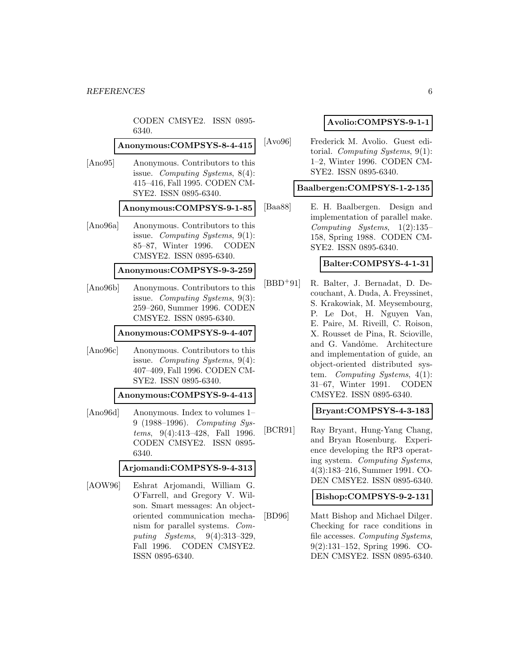|          | CODEN CMSYE2. ISSN 0895-<br>6340.                                                                                                                                                                                                                           |    |
|----------|-------------------------------------------------------------------------------------------------------------------------------------------------------------------------------------------------------------------------------------------------------------|----|
|          | Anonymous:COMPSYS-8-4-415                                                                                                                                                                                                                                   | [A |
| [Ano95]  | Anonymous. Contributors to this<br>issue. Computing Systems, $8(4)$ :<br>415-416, Fall 1995. CODEN CM-<br>SYE2. ISSN 0895-6340.                                                                                                                             |    |
|          | Anonymous:COMPSYS-9-1-85                                                                                                                                                                                                                                    | [B |
| [Ano96a] | Anonymous. Contributors to this<br>issue. Computing Systems, $9(1)$ :<br>85-87, Winter 1996.<br><b>CODEN</b><br>CMSYE2. ISSN 0895-6340.                                                                                                                     |    |
|          | Anonymous:COMPSYS-9-3-259                                                                                                                                                                                                                                   |    |
| [Ano96b] | Anonymous. Contributors to this<br>issue. Computing Systems, 9(3):<br>259-260, Summer 1996. CODEN<br>CMSYE2. ISSN 0895-6340.                                                                                                                                | [B |
|          | Anonymous:COMPSYS-9-4-407                                                                                                                                                                                                                                   |    |
| [Ano96c] | Anonymous. Contributors to this<br>issue. Computing Systems, $9(4)$ :<br>407-409, Fall 1996. CODEN CM-<br>SYE2. ISSN 0895-6340.                                                                                                                             |    |
|          | Anonymous:COMPSYS-9-4-413                                                                                                                                                                                                                                   |    |
| [Ano96d] | Anonymous. Index to volumes 1–<br>9 (1988–1996). Computing Sys-<br>tems, $9(4):413-428$ , Fall 1996.<br>CODEN CMSYE2. ISSN 0895-<br>6340.                                                                                                                   | [B |
|          | Arjomandi:COMPSYS-9-4-313                                                                                                                                                                                                                                   |    |
| [AOW96]  | Eshrat Arjomandi, William G.<br>O'Farrell, and Gregory V. Wil-<br>son. Smart messages: An object-<br>oriented communication mecha-<br>nism for parallel systems. Com-<br>puting Systems, $9(4):313-329$ ,<br>CODEN CMSYE2.<br>Fall 1996.<br>ISSN 0895-6340. | ΙB |

### **Avolio:COMPSYS-9-1-1**

[Avo96] Frederick M. Avolio. Guest editorial. Computing Systems, 9(1): 1–2, Winter 1996. CODEN CM-SYE2. ISSN 0895-6340.

#### **Baalbergen:COMPSYS-1-2-135**

[Baa88] E. H. Baalbergen. Design and implementation of parallel make. Computing Systems, 1(2):135– 158, Spring 1988. CODEN CM-SYE2. ISSN 0895-6340.

## **Balter:COMPSYS-4-1-31**

[BBD<sup>+</sup>91] R. Balter, J. Bernadat, D. Decouchant, A. Duda, A. Freyssinet, S. Krakowiak, M. Meysembourg, P. Le Dot, H. Nguyen Van, E. Paire, M. Riveill, C. Roison, X. Rousset de Pina, R. Scioville, and G. Vandôme. Architecture and implementation of guide, an object-oriented distributed system. Computing Systems, 4(1): 31–67, Winter 1991. CODEN CMSYE2. ISSN 0895-6340.

## **Bryant:COMPSYS-4-3-183**

[BCR91] Ray Bryant, Hung-Yang Chang, and Bryan Rosenburg. Experience developing the RP3 operating system. Computing Systems, 4(3):183–216, Summer 1991. CO-DEN CMSYE2. ISSN 0895-6340.

### **Bishop:COMPSYS-9-2-131**

[BD96] Matt Bishop and Michael Dilger. Checking for race conditions in file accesses. Computing Systems, 9(2):131–152, Spring 1996. CO-DEN CMSYE2. ISSN 0895-6340.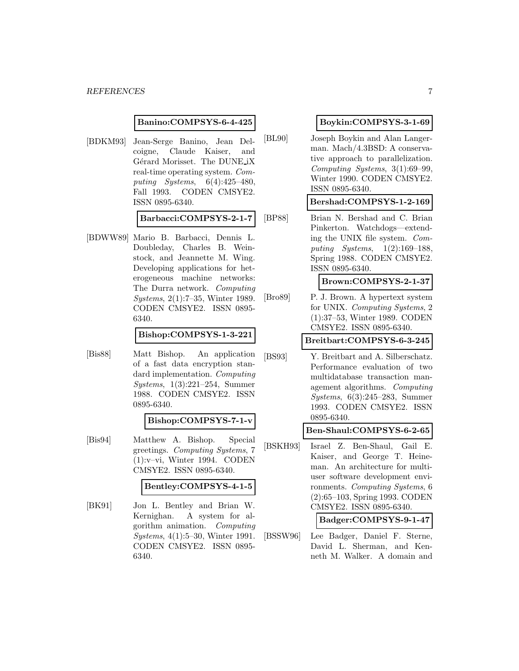### **Banino:COMPSYS-6-4-425**

[BDKM93] Jean-Serge Banino, Jean Delcoigne, Claude Kaiser, and Gérard Morisset. The DUNE<sub>iX</sub> real-time operating system. Computing Systems, 6(4):425–480, Fall 1993. CODEN CMSYE2. ISSN 0895-6340.

**Barbacci:COMPSYS-2-1-7**

[BDWW89] Mario B. Barbacci, Dennis L. Doubleday, Charles B. Weinstock, and Jeannette M. Wing. Developing applications for heterogeneous machine networks: The Durra network. Computing Systems, 2(1):7–35, Winter 1989. CODEN CMSYE2. ISSN 0895- 6340.

## **Bishop:COMPSYS-1-3-221**

[Bis88] Matt Bishop. An application of a fast data encryption standard implementation. Computing Systems, 1(3):221–254, Summer 1988. CODEN CMSYE2. ISSN 0895-6340.

#### **Bishop:COMPSYS-7-1-v**

[Bis94] Matthew A. Bishop. Special greetings. Computing Systems, 7 (1):v–vi, Winter 1994. CODEN CMSYE2. ISSN 0895-6340.

### **Bentley:COMPSYS-4-1-5**

[BK91] Jon L. Bentley and Brian W. Kernighan. A system for algorithm animation. Computing Systems, 4(1):5–30, Winter 1991. CODEN CMSYE2. ISSN 0895- 6340.

## **Boykin:COMPSYS-3-1-69**

[BL90] Joseph Boykin and Alan Langerman. Mach/4.3BSD: A conservative approach to parallelization. Computing Systems, 3(1):69–99, Winter 1990. CODEN CMSYE2. ISSN 0895-6340.

### **Bershad:COMPSYS-1-2-169**

[BP88] Brian N. Bershad and C. Brian Pinkerton. Watchdogs—extending the UNIX file system. Computing Systems, 1(2):169–188, Spring 1988. CODEN CMSYE2. ISSN 0895-6340.

#### **Brown:COMPSYS-2-1-37**

[Bro89] P. J. Brown. A hypertext system for UNIX. Computing Systems, 2 (1):37–53, Winter 1989. CODEN CMSYE2. ISSN 0895-6340.

## **Breitbart:COMPSYS-6-3-245**

[BS93] Y. Breitbart and A. Silberschatz. Performance evaluation of two multidatabase transaction management algorithms. Computing Systems, 6(3):245–283, Summer 1993. CODEN CMSYE2. ISSN 0895-6340.

#### **Ben-Shaul:COMPSYS-6-2-65**

[BSKH93] Israel Z. Ben-Shaul, Gail E. Kaiser, and George T. Heineman. An architecture for multiuser software development environments. Computing Systems, 6 (2):65–103, Spring 1993. CODEN CMSYE2. ISSN 0895-6340.

## **Badger:COMPSYS-9-1-47**

[BSSW96] Lee Badger, Daniel F. Sterne, David L. Sherman, and Kenneth M. Walker. A domain and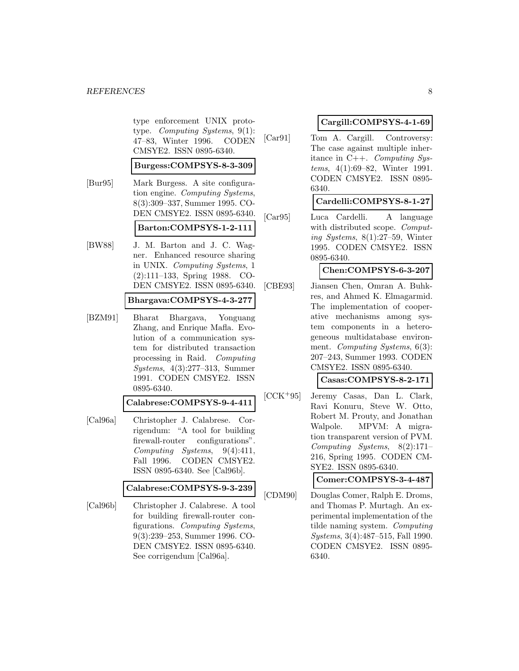type enforcement UNIX prototype. Computing Systems, 9(1): 47–83, Winter 1996. CODEN CMSYE2. ISSN 0895-6340.

#### **Burgess:COMPSYS-8-3-309**

- [Bur95] Mark Burgess. A site configuration engine. Computing Systems, 8(3):309–337, Summer 1995. CO-DEN CMSYE2. ISSN 0895-6340. **Barton:COMPSYS-1-2-111**
- [BW88] J. M. Barton and J. C. Wagner. Enhanced resource sharing in UNIX. Computing Systems, 1 (2):111–133, Spring 1988. CO-DEN CMSYE2. ISSN 0895-6340.

## **Bhargava:COMPSYS-4-3-277**

[BZM91] Bharat Bhargava, Yonguang Zhang, and Enrique Mafla. Evolution of a communication system for distributed transaction processing in Raid. Computing Systems, 4(3):277–313, Summer 1991. CODEN CMSYE2. ISSN 0895-6340.

### **Calabrese:COMPSYS-9-4-411**

[Cal96a] Christopher J. Calabrese. Corrigendum: "A tool for building firewall-router configurations". Computing Systems, 9(4):411, Fall 1996. CODEN CMSYE2. ISSN 0895-6340. See [Cal96b].

## **Calabrese:COMPSYS-9-3-239**

[Cal96b] Christopher J. Calabrese. A tool for building firewall-router configurations. Computing Systems, 9(3):239–253, Summer 1996. CO-DEN CMSYE2. ISSN 0895-6340. See corrigendum [Cal96a].

## **Cargill:COMPSYS-4-1-69**

[Car91] Tom A. Cargill. Controversy: The case against multiple inheritance in C++. Computing Systems, 4(1):69–82, Winter 1991. CODEN CMSYE2. ISSN 0895- 6340.

## **Cardelli:COMPSYS-8-1-27**

[Car95] Luca Cardelli. A language with distributed scope. *Comput*ing Systems, 8(1):27–59, Winter 1995. CODEN CMSYE2. ISSN 0895-6340.

## **Chen:COMPSYS-6-3-207**

[CBE93] Jiansen Chen, Omran A. Buhkres, and Ahmed K. Elmagarmid. The implementation of cooperative mechanisms among system components in a heterogeneous multidatabase environment. *Computing Systems*, 6(3): 207–243, Summer 1993. CODEN CMSYE2. ISSN 0895-6340.

## **Casas:COMPSYS-8-2-171**

[CCK<sup>+</sup>95] Jeremy Casas, Dan L. Clark, Ravi Konuru, Steve W. Otto, Robert M. Prouty, and Jonathan Walpole. MPVM: A migration transparent version of PVM. Computing Systems, 8(2):171– 216, Spring 1995. CODEN CM-SYE2. ISSN 0895-6340.

**Comer:COMPSYS-3-4-487**

[CDM90] Douglas Comer, Ralph E. Droms, and Thomas P. Murtagh. An experimental implementation of the tilde naming system. Computing Systems, 3(4):487–515, Fall 1990. CODEN CMSYE2. ISSN 0895- 6340.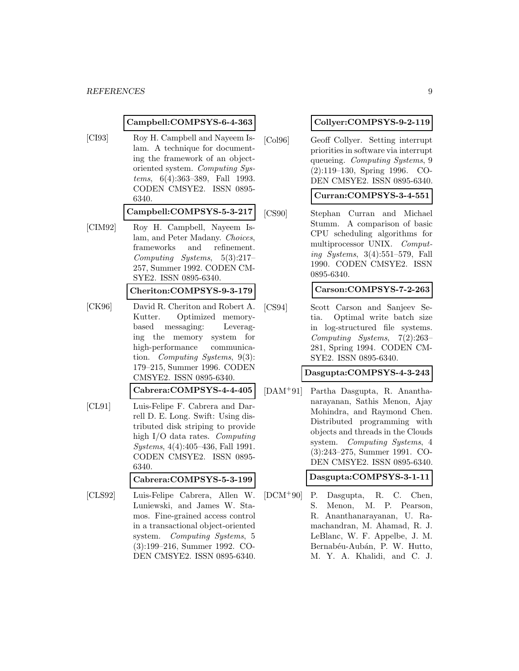### **Campbell:COMPSYS-6-4-363**

[CI93] Roy H. Campbell and Nayeem Islam. A technique for documenting the framework of an objectoriented system. Computing Systems, 6(4):363–389, Fall 1993. CODEN CMSYE2. ISSN 0895- 6340.

#### **Campbell:COMPSYS-5-3-217**

- [CIM92] Roy H. Campbell, Nayeem Islam, and Peter Madany. Choices, frameworks and refinement. Computing Systems, 5(3):217– 257, Summer 1992. CODEN CM-SYE2. ISSN 0895-6340. **Cheriton:COMPSYS-9-3-179**
- [CK96] David R. Cheriton and Robert A. Kutter. Optimized memorybased messaging: Leveraging the memory system for high-performance communication. Computing Systems, 9(3): 179–215, Summer 1996. CODEN CMSYE2. ISSN 0895-6340.

**Cabrera:COMPSYS-4-4-405**

[CL91] Luis-Felipe F. Cabrera and Darrell D. E. Long. Swift: Using distributed disk striping to provide high I/O data rates. Computing Systems, 4(4):405–436, Fall 1991. CODEN CMSYE2. ISSN 0895- 6340.

## **Cabrera:COMPSYS-5-3-199**

[CLS92] Luis-Felipe Cabrera, Allen W. Luniewski, and James W. Stamos. Fine-grained access control in a transactional object-oriented system. Computing Systems, 5 (3):199–216, Summer 1992. CO-DEN CMSYE2. ISSN 0895-6340.

## **Collyer:COMPSYS-9-2-119**

[Col96] Geoff Collyer. Setting interrupt priorities in software via interrupt queueing. Computing Systems, 9 (2):119–130, Spring 1996. CO-DEN CMSYE2. ISSN 0895-6340.

## **Curran:COMPSYS-3-4-551**

[CS90] Stephan Curran and Michael Stumm. A comparison of basic CPU scheduling algorithms for multiprocessor UNIX. Computing Systems, 3(4):551–579, Fall 1990. CODEN CMSYE2. ISSN 0895-6340.

### **Carson:COMPSYS-7-2-263**

[CS94] Scott Carson and Sanjeev Setia. Optimal write batch size in log-structured file systems. Computing Systems, 7(2):263– 281, Spring 1994. CODEN CM-SYE2. ISSN 0895-6340.

## **Dasgupta:COMPSYS-4-3-243**

[DAM<sup>+</sup>91] Partha Dasgupta, R. Ananthanarayanan, Sathis Menon, Ajay Mohindra, and Raymond Chen. Distributed programming with objects and threads in the Clouds system. Computing Systems, 4 (3):243–275, Summer 1991. CO-DEN CMSYE2. ISSN 0895-6340.

## **Dasgupta:COMPSYS-3-1-11**

[DCM<sup>+</sup>90] P. Dasgupta, R. C. Chen, S. Menon, M. P. Pearson, R. Ananthanarayanan, U. Ramachandran, M. Ahamad, R. J. LeBlanc, W. F. Appelbe, J. M. Bernabéu-Aubán, P. W. Hutto, M. Y. A. Khalidi, and C. J.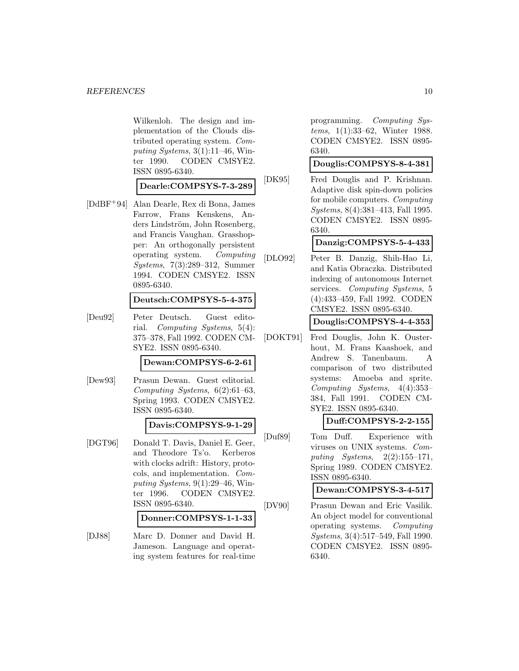Wilkenloh. The design and implementation of the Clouds distributed operating system. Computing Systems,  $3(1):11-46$ , Winter 1990. CODEN CMSYE2. ISSN 0895-6340.

**Dearle:COMPSYS-7-3-289**

[DdBF<sup>+</sup>94] Alan Dearle, Rex di Bona, James Farrow, Frans Kenskens, Anders Lindström, John Rosenberg, and Francis Vaughan. Grasshopper: An orthogonally persistent operating system. Computing Systems, 7(3):289–312, Summer 1994. CODEN CMSYE2. ISSN 0895-6340.

#### **Deutsch:COMPSYS-5-4-375**

[Deu92] Peter Deutsch. Guest editorial. Computing Systems, 5(4): 375–378, Fall 1992. CODEN CM-SYE2. ISSN 0895-6340.

**Dewan:COMPSYS-6-2-61**

[Dew93] Prasun Dewan. Guest editorial. Computing Systems, 6(2):61–63, Spring 1993. CODEN CMSYE2. ISSN 0895-6340.

## **Davis:COMPSYS-9-1-29**

[DGT96] Donald T. Davis, Daniel E. Geer, and Theodore Ts'o. Kerberos with clocks adrift: History, protocols, and implementation. Computing Systems,  $9(1):29-46$ , Winter 1996. CODEN CMSYE2. ISSN 0895-6340.

**Donner:COMPSYS-1-1-33**

[DJ88] Marc D. Donner and David H. Jameson. Language and operating system features for real-time programming. Computing Systems, 1(1):33–62, Winter 1988. CODEN CMSYE2. ISSN 0895- 6340.

### **Douglis:COMPSYS-8-4-381**

[DK95] Fred Douglis and P. Krishnan. Adaptive disk spin-down policies for mobile computers. Computing Systems, 8(4):381–413, Fall 1995. CODEN CMSYE2. ISSN 0895- 6340.

## **Danzig:COMPSYS-5-4-433**

[DLO92] Peter B. Danzig, Shih-Hao Li, and Katia Obraczka. Distributed indexing of autonomous Internet services. Computing Systems, 5 (4):433–459, Fall 1992. CODEN CMSYE2. ISSN 0895-6340.

**Douglis:COMPSYS-4-4-353**

[DOKT91] Fred Douglis, John K. Ousterhout, M. Frans Kaashoek, and Andrew S. Tanenbaum. A comparison of two distributed systems: Amoeba and sprite. Computing Systems, 4(4):353– 384, Fall 1991. CODEN CM-SYE2. ISSN 0895-6340.

## **Duff:COMPSYS-2-2-155**

[Duf89] Tom Duff. Experience with viruses on UNIX systems. Computing Systems, 2(2):155–171, Spring 1989. CODEN CMSYE2. ISSN 0895-6340.

**Dewan:COMPSYS-3-4-517**

[DV90] Prasun Dewan and Eric Vasilik. An object model for conventional operating systems. Computing Systems, 3(4):517–549, Fall 1990. CODEN CMSYE2. ISSN 0895- 6340.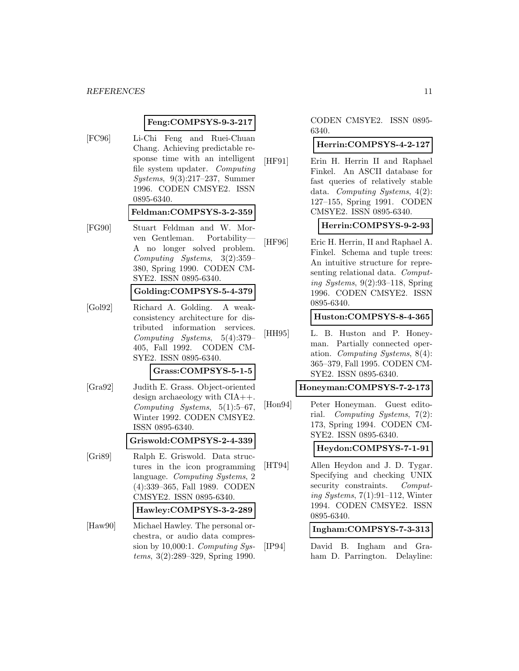### **Feng:COMPSYS-9-3-217**

[FC96] Li-Chi Feng and Ruei-Chuan Chang. Achieving predictable response time with an intelligent file system updater. Computing Systems, 9(3):217–237, Summer 1996. CODEN CMSYE2. ISSN 0895-6340.

#### **Feldman:COMPSYS-3-2-359**

[FG90] Stuart Feldman and W. Morven Gentleman. Portability— A no longer solved problem. Computing Systems, 3(2):359– 380, Spring 1990. CODEN CM-SYE2. ISSN 0895-6340.

### **Golding:COMPSYS-5-4-379**

[Gol92] Richard A. Golding. A weakconsistency architecture for distributed information services. Computing Systems, 5(4):379– 405, Fall 1992. CODEN CM-SYE2. ISSN 0895-6340.

#### **Grass:COMPSYS-5-1-5**

[Gra92] Judith E. Grass. Object-oriented design archaeology with CIA++. Computing Systems, 5(1):5–67, Winter 1992. CODEN CMSYE2. ISSN 0895-6340.

**Griswold:COMPSYS-2-4-339**

- [Gri89] Ralph E. Griswold. Data structures in the icon programming language. Computing Systems, 2 (4):339–365, Fall 1989. CODEN CMSYE2. ISSN 0895-6340. **Hawley:COMPSYS-3-2-289**
- [Haw90] Michael Hawley. The personal orchestra, or audio data compression by 10,000:1. Computing Systems, 3(2):289–329, Spring 1990.

CODEN CMSYE2. ISSN 0895- 6340.

## **Herrin:COMPSYS-4-2-127**

[HF91] Erin H. Herrin II and Raphael Finkel. An ASCII database for fast queries of relatively stable data. Computing Systems, 4(2): 127–155, Spring 1991. CODEN CMSYE2. ISSN 0895-6340.

## **Herrin:COMPSYS-9-2-93**

[HF96] Eric H. Herrin, II and Raphael A. Finkel. Schema and tuple trees: An intuitive structure for representing relational data. Computing Systems, 9(2):93–118, Spring 1996. CODEN CMSYE2. ISSN 0895-6340.

**Huston:COMPSYS-8-4-365**

[HH95] L. B. Huston and P. Honeyman. Partially connected operation. Computing Systems, 8(4): 365–379, Fall 1995. CODEN CM-SYE2. ISSN 0895-6340.

#### **Honeyman:COMPSYS-7-2-173**

[Hon94] Peter Honeyman. Guest editorial. Computing Systems, 7(2): 173, Spring 1994. CODEN CM-SYE2. ISSN 0895-6340.

**Heydon:COMPSYS-7-1-91**

[HT94] Allen Heydon and J. D. Tygar. Specifying and checking UNIX security constraints. Computing Systems, 7(1):91–112, Winter 1994. CODEN CMSYE2. ISSN 0895-6340.

**Ingham:COMPSYS-7-3-313**

[IP94] David B. Ingham and Graham D. Parrington. Delayline: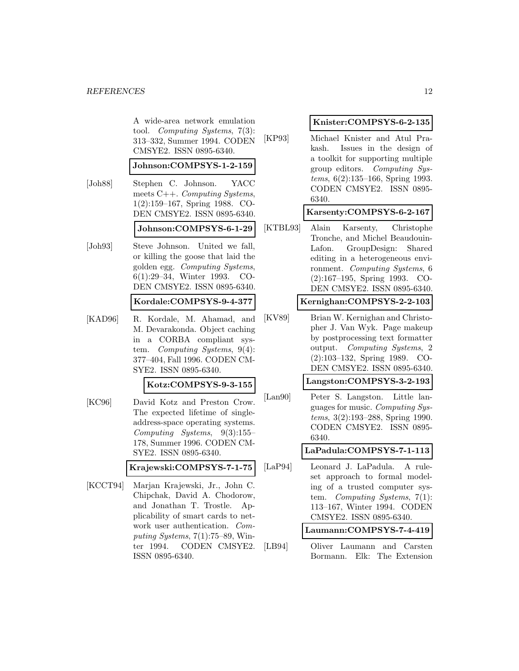A wide-area network emulation tool. Computing Systems, 7(3): 313–332, Summer 1994. CODEN CMSYE2. ISSN 0895-6340.

#### **Johnson:COMPSYS-1-2-159**

- [Joh88] Stephen C. Johnson. YACC meets C++. Computing Systems, 1(2):159–167, Spring 1988. CO-DEN CMSYE2. ISSN 0895-6340. **Johnson:COMPSYS-6-1-29**
- [Joh93] Steve Johnson. United we fall, or killing the goose that laid the golden egg. Computing Systems, 6(1):29–34, Winter 1993. CO-DEN CMSYE2. ISSN 0895-6340.

#### **Kordale:COMPSYS-9-4-377**

[KAD96] R. Kordale, M. Ahamad, and M. Devarakonda. Object caching in a CORBA compliant system. Computing Systems, 9(4): 377–404, Fall 1996. CODEN CM-SYE2. ISSN 0895-6340.

#### **Kotz:COMPSYS-9-3-155**

[KC96] David Kotz and Preston Crow. The expected lifetime of singleaddress-space operating systems. Computing Systems, 9(3):155– 178, Summer 1996. CODEN CM-SYE2. ISSN 0895-6340.

### **Krajewski:COMPSYS-7-1-75**

[KCCT94] Marjan Krajewski, Jr., John C. Chipchak, David A. Chodorow, and Jonathan T. Trostle. Applicability of smart cards to network user authentication. Computing Systems,  $7(1)$ :75–89, Winter 1994. CODEN CMSYE2. ISSN 0895-6340.

#### **Knister:COMPSYS-6-2-135**

[KP93] Michael Knister and Atul Prakash. Issues in the design of a toolkit for supporting multiple group editors. Computing Systems, 6(2):135–166, Spring 1993. CODEN CMSYE2. ISSN 0895- 6340.

## **Karsenty:COMPSYS-6-2-167**

[KTBL93] Alain Karsenty, Christophe Tronche, and Michel Beaudouin-Lafon. GroupDesign: Shared editing in a heterogeneous environment. Computing Systems, 6 (2):167–195, Spring 1993. CO-DEN CMSYE2. ISSN 0895-6340.

### **Kernighan:COMPSYS-2-2-103**

[KV89] Brian W. Kernighan and Christopher J. Van Wyk. Page makeup by postprocessing text formatter output. Computing Systems, 2 (2):103–132, Spring 1989. CO-DEN CMSYE2. ISSN 0895-6340.

## **Langston:COMPSYS-3-2-193**

[Lan90] Peter S. Langston. Little languages for music. Computing Systems, 3(2):193–288, Spring 1990. CODEN CMSYE2. ISSN 0895- 6340.

#### **LaPadula:COMPSYS-7-1-113**

[LaP94] Leonard J. LaPadula. A ruleset approach to formal modeling of a trusted computer system. Computing Systems, 7(1): 113–167, Winter 1994. CODEN CMSYE2. ISSN 0895-6340.

## **Laumann:COMPSYS-7-4-419**

[LB94] Oliver Laumann and Carsten Bormann. Elk: The Extension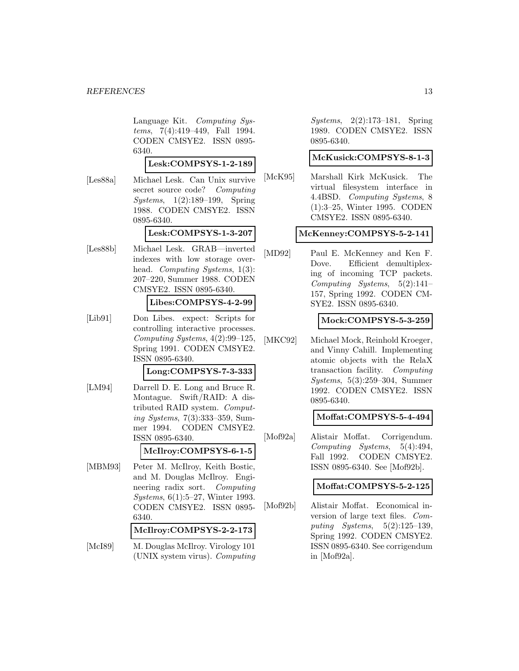Language Kit. Computing Systems, 7(4):419–449, Fall 1994. CODEN CMSYE2. ISSN 0895- 6340.

**Lesk:COMPSYS-1-2-189**

[Les88a] Michael Lesk. Can Unix survive secret source code? Computing Systems, 1(2):189–199, Spring 1988. CODEN CMSYE2. ISSN 0895-6340.

#### **Lesk:COMPSYS-1-3-207**

[Les88b] Michael Lesk. GRAB—inverted indexes with low storage overhead. Computing Systems, 1(3): 207–220, Summer 1988. CODEN CMSYE2. ISSN 0895-6340.

## **Libes:COMPSYS-4-2-99**

[Lib91] Don Libes. expect: Scripts for controlling interactive processes. Computing Systems, 4(2):99–125, Spring 1991. CODEN CMSYE2. ISSN 0895-6340.

### **Long:COMPSYS-7-3-333**

[LM94] Darrell D. E. Long and Bruce R. Montague. Swift/RAID: A distributed RAID system. Computing Systems, 7(3):333–359, Summer 1994. CODEN CMSYE2. ISSN 0895-6340.

## **McIlroy:COMPSYS-6-1-5**

[MBM93] Peter M. McIlroy, Keith Bostic, and M. Douglas McIlroy. Engineering radix sort. Computing Systems, 6(1):5–27, Winter 1993. CODEN CMSYE2. ISSN 0895- 6340.

#### **McIlroy:COMPSYS-2-2-173**

[McI89] M. Douglas McIlroy. Virology 101 (UNIX system virus). Computing

Systems, 2(2):173–181, Spring 1989. CODEN CMSYE2. ISSN 0895-6340.

## **McKusick:COMPSYS-8-1-3**

[McK95] Marshall Kirk McKusick. The virtual filesystem interface in 4.4BSD. Computing Systems, 8 (1):3–25, Winter 1995. CODEN CMSYE2. ISSN 0895-6340.

### **McKenney:COMPSYS-5-2-141**

[MD92] Paul E. McKenney and Ken F. Dove. Efficient demultiplexing of incoming TCP packets. Computing Systems, 5(2):141– 157, Spring 1992. CODEN CM-SYE2. ISSN 0895-6340.

## **Mock:COMPSYS-5-3-259**

[MKC92] Michael Mock, Reinhold Kroeger, and Vinny Cahill. Implementing atomic objects with the RelaX transaction facility. Computing Systems, 5(3):259–304, Summer 1992. CODEN CMSYE2. ISSN 0895-6340.

### **Moffat:COMPSYS-5-4-494**

[Mof92a] Alistair Moffat. Corrigendum. Computing Systems, 5(4):494, Fall 1992. CODEN CMSYE2. ISSN 0895-6340. See [Mof92b].

### **Moffat:COMPSYS-5-2-125**

[Mof92b] Alistair Moffat. Economical inversion of large text files. Computing Systems, 5(2):125–139, Spring 1992. CODEN CMSYE2. ISSN 0895-6340. See corrigendum in [Mof92a].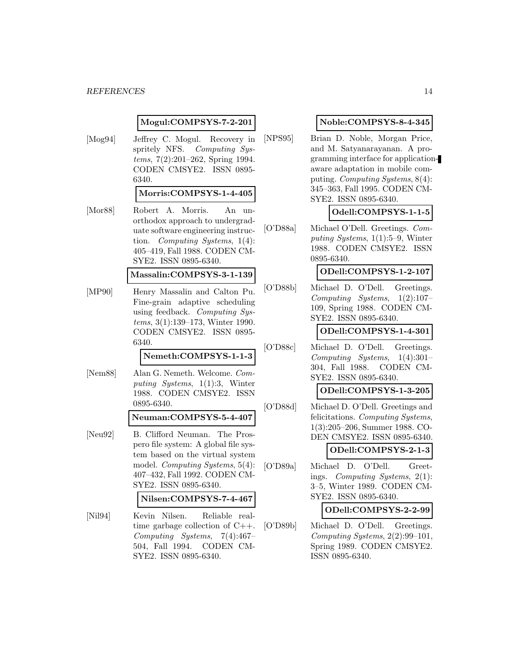#### **Mogul:COMPSYS-7-2-201**

[Mog94] Jeffrey C. Mogul. Recovery in spritely NFS. Computing Systems, 7(2):201–262, Spring 1994. CODEN CMSYE2. ISSN 0895- 6340.

#### **Morris:COMPSYS-1-4-405**

[Mor88] Robert A. Morris. An unorthodox approach to undergraduate software engineering instruction. Computing Systems, 1(4): 405–419, Fall 1988. CODEN CM-SYE2. ISSN 0895-6340.

#### **Massalin:COMPSYS-3-1-139**

[MP90] Henry Massalin and Calton Pu. Fine-grain adaptive scheduling using feedback. Computing Systems, 3(1):139–173, Winter 1990. CODEN CMSYE2. ISSN 0895- 6340.

## **Nemeth:COMPSYS-1-1-3**

[Nem88] Alan G. Nemeth. Welcome. Computing Systems, 1(1):3, Winter 1988. CODEN CMSYE2. ISSN 0895-6340.

#### **Neuman:COMPSYS-5-4-407**

[Neu92] B. Clifford Neuman. The Prospero file system: A global file system based on the virtual system model. Computing Systems, 5(4): 407–432, Fall 1992. CODEN CM-SYE2. ISSN 0895-6340.

### **Nilsen:COMPSYS-7-4-467**

[Nil94] Kevin Nilsen. Reliable realtime garbage collection of C++. Computing Systems, 7(4):467– 504, Fall 1994. CODEN CM-SYE2. ISSN 0895-6340.

## **Noble:COMPSYS-8-4-345**

[NPS95] Brian D. Noble, Morgan Price, and M. Satyanarayanan. A programming interface for applicationaware adaptation in mobile computing. Computing Systems, 8(4): 345–363, Fall 1995. CODEN CM-SYE2. ISSN 0895-6340.

## **Odell:COMPSYS-1-1-5**

[O'D88a] Michael O'Dell. Greetings. Computing Systems, 1(1):5–9, Winter 1988. CODEN CMSYE2. ISSN 0895-6340.

#### **ODell:COMPSYS-1-2-107**

[O'D88b] Michael D. O'Dell. Greetings. Computing Systems, 1(2):107– 109, Spring 1988. CODEN CM-SYE2. ISSN 0895-6340.

**ODell:COMPSYS-1-4-301**

[O'D88c] Michael D. O'Dell. Greetings. Computing Systems, 1(4):301– 304, Fall 1988. CODEN CM-SYE2. ISSN 0895-6340.

### **ODell:COMPSYS-1-3-205**

[O'D88d] Michael D. O'Dell. Greetings and felicitations. Computing Systems, 1(3):205–206, Summer 1988. CO-DEN CMSYE2. ISSN 0895-6340.

### **ODell:COMPSYS-2-1-3**

[O'D89a] Michael D. O'Dell. Greetings. Computing Systems, 2(1): 3–5, Winter 1989. CODEN CM-SYE2. ISSN 0895-6340.

#### **ODell:COMPSYS-2-2-99**

[O'D89b] Michael D. O'Dell. Greetings. Computing Systems, 2(2):99–101, Spring 1989. CODEN CMSYE2. ISSN 0895-6340.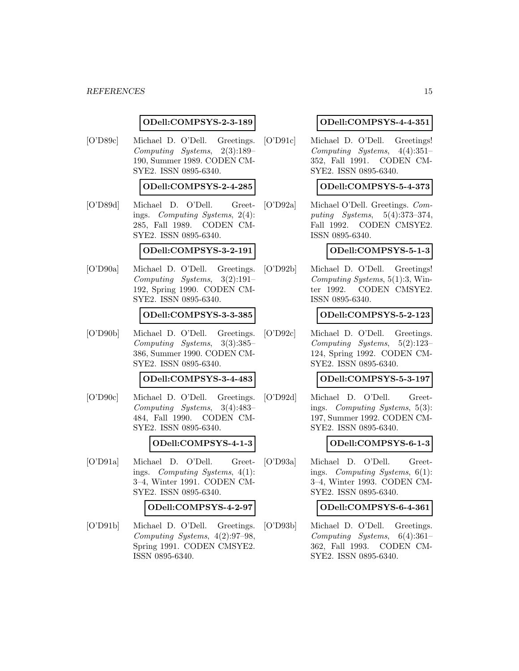#### *REFERENCES* 15

#### **ODell:COMPSYS-2-3-189**

[O'D89c] Michael D. O'Dell. Greetings. Computing Systems, 2(3):189– 190, Summer 1989. CODEN CM-SYE2. ISSN 0895-6340.

## **ODell:COMPSYS-2-4-285**

[O'D89d] Michael D. O'Dell. Greetings. Computing Systems, 2(4): 285, Fall 1989. CODEN CM-SYE2. ISSN 0895-6340.

## **ODell:COMPSYS-3-2-191**

[O'D90a] Michael D. O'Dell. Greetings. Computing Systems, 3(2):191– 192, Spring 1990. CODEN CM-SYE2. ISSN 0895-6340.

#### **ODell:COMPSYS-3-3-385**

[O'D90b] Michael D. O'Dell. Greetings. Computing Systems, 3(3):385– 386, Summer 1990. CODEN CM-SYE2. ISSN 0895-6340.

## **ODell:COMPSYS-3-4-483**

[O'D90c] Michael D. O'Dell. Greetings. Computing Systems, 3(4):483– 484, Fall 1990. CODEN CM-SYE2. ISSN 0895-6340.

### **ODell:COMPSYS-4-1-3**

[O'D91a] Michael D. O'Dell. Greetings. Computing Systems, 4(1): 3–4, Winter 1991. CODEN CM-SYE2. ISSN 0895-6340.

#### **ODell:COMPSYS-4-2-97**

[O'D91b] Michael D. O'Dell. Greetings. Computing Systems, 4(2):97–98, Spring 1991. CODEN CMSYE2. ISSN 0895-6340.

### **ODell:COMPSYS-4-4-351**

[O'D91c] Michael D. O'Dell. Greetings! Computing Systems, 4(4):351– 352, Fall 1991. CODEN CM-SYE2. ISSN 0895-6340.

## **ODell:COMPSYS-5-4-373**

[O'D92a] Michael O'Dell. Greetings. Computing Systems, 5(4):373–374, Fall 1992. CODEN CMSYE2. ISSN 0895-6340.

## **ODell:COMPSYS-5-1-3**

[O'D92b] Michael D. O'Dell. Greetings! Computing Systems, 5(1):3, Winter 1992. CODEN CMSYE2. ISSN 0895-6340.

#### **ODell:COMPSYS-5-2-123**

[O'D92c] Michael D. O'Dell. Greetings. Computing Systems, 5(2):123– 124, Spring 1992. CODEN CM-SYE2. ISSN 0895-6340.

## **ODell:COMPSYS-5-3-197**

[O'D92d] Michael D. O'Dell. Greetings. Computing Systems, 5(3): 197, Summer 1992. CODEN CM-SYE2. ISSN 0895-6340.

### **ODell:COMPSYS-6-1-3**

[O'D93a] Michael D. O'Dell. Greetings. Computing Systems, 6(1): 3–4, Winter 1993. CODEN CM-SYE2. ISSN 0895-6340.

#### **ODell:COMPSYS-6-4-361**

[O'D93b] Michael D. O'Dell. Greetings. Computing Systems, 6(4):361– 362, Fall 1993. CODEN CM-SYE2. ISSN 0895-6340.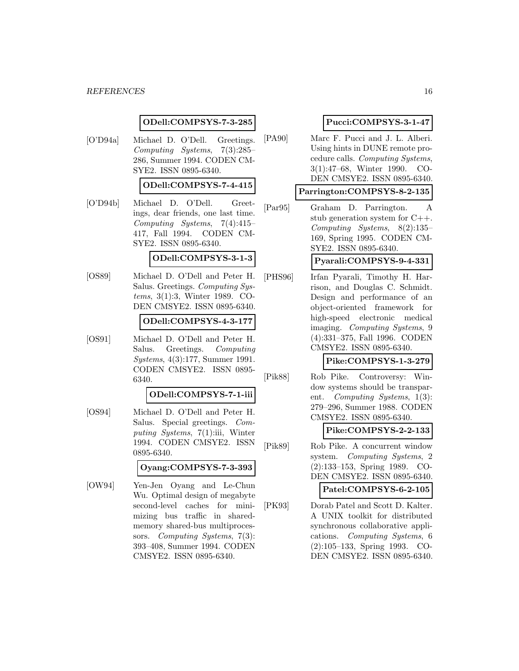#### **ODell:COMPSYS-7-3-285**

[O'D94a] Michael D. O'Dell. Greetings. Computing Systems, 7(3):285– 286, Summer 1994. CODEN CM-SYE2. ISSN 0895-6340.

## **ODell:COMPSYS-7-4-415**

[O'D94b] Michael D. O'Dell. Greetings, dear friends, one last time. Computing Systems, 7(4):415– 417, Fall 1994. CODEN CM-SYE2. ISSN 0895-6340.

#### **ODell:COMPSYS-3-1-3**

[OS89] Michael D. O'Dell and Peter H. Salus. Greetings. Computing Systems, 3(1):3, Winter 1989. CO-DEN CMSYE2. ISSN 0895-6340.

### **ODell:COMPSYS-4-3-177**

[OS91] Michael D. O'Dell and Peter H. Salus. Greetings. Computing Systems, 4(3):177, Summer 1991. CODEN CMSYE2. ISSN 0895- 6340.

#### **ODell:COMPSYS-7-1-iii**

[OS94] Michael D. O'Dell and Peter H. Salus. Special greetings. Computing Systems, 7(1):iii, Winter 1994. CODEN CMSYE2. ISSN 0895-6340.

### **Oyang:COMPSYS-7-3-393**

[OW94] Yen-Jen Oyang and Le-Chun Wu. Optimal design of megabyte second-level caches for minimizing bus traffic in sharedmemory shared-bus multiprocessors. Computing Systems, 7(3): 393–408, Summer 1994. CODEN CMSYE2. ISSN 0895-6340.

## **Pucci:COMPSYS-3-1-47**

[PA90] Marc F. Pucci and J. L. Alberi. Using hints in DUNE remote procedure calls. Computing Systems, 3(1):47–68, Winter 1990. CO-DEN CMSYE2. ISSN 0895-6340.

## **Parrington:COMPSYS-8-2-135**

[Par95] Graham D. Parrington. A stub generation system for C++. Computing Systems, 8(2):135– 169, Spring 1995. CODEN CM-SYE2. ISSN 0895-6340.

## **Pyarali:COMPSYS-9-4-331**

[PHS96] Irfan Pyarali, Timothy H. Harrison, and Douglas C. Schmidt. Design and performance of an object-oriented framework for high-speed electronic medical imaging. Computing Systems, 9 (4):331–375, Fall 1996. CODEN CMSYE2. ISSN 0895-6340.

## **Pike:COMPSYS-1-3-279**

[Pik88] Rob Pike. Controversy: Window systems should be transparent. Computing Systems, 1(3): 279–296, Summer 1988. CODEN CMSYE2. ISSN 0895-6340.

### **Pike:COMPSYS-2-2-133**

[Pik89] Rob Pike. A concurrent window system. Computing Systems, 2 (2):133–153, Spring 1989. CO-DEN CMSYE2. ISSN 0895-6340.

## **Patel:COMPSYS-6-2-105**

[PK93] Dorab Patel and Scott D. Kalter. A UNIX toolkit for distributed synchronous collaborative applications. Computing Systems, 6 (2):105–133, Spring 1993. CO-DEN CMSYE2. ISSN 0895-6340.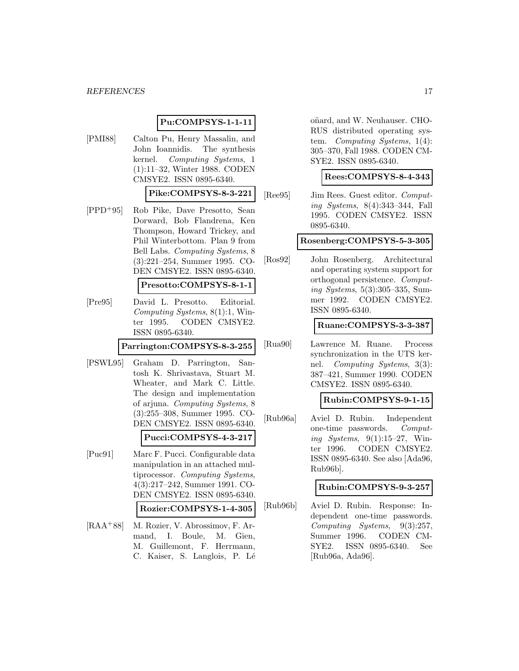#### **Pu:COMPSYS-1-1-11**

[PMI88] Calton Pu, Henry Massalin, and John Ioannidis. The synthesis kernel. Computing Systems, 1 (1):11–32, Winter 1988. CODEN CMSYE2. ISSN 0895-6340.

**Pike:COMPSYS-8-3-221**

[PPD<sup>+</sup>95] Rob Pike, Dave Presotto, Sean Dorward, Bob Flandrena, Ken Thompson, Howard Trickey, and Phil Winterbottom. Plan 9 from Bell Labs. Computing Systems, 8 (3):221–254, Summer 1995. CO-DEN CMSYE2. ISSN 0895-6340.

#### **Presotto:COMPSYS-8-1-1**

[Pre95] David L. Presotto. Editorial. Computing Systems, 8(1):1, Winter 1995. CODEN CMSYE2. ISSN 0895-6340.

#### **Parrington:COMPSYS-8-3-255**

[PSWL95] Graham D. Parrington, Santosh K. Shrivastava, Stuart M. Wheater, and Mark C. Little. The design and implementation of arjuna. Computing Systems, 8 (3):255–308, Summer 1995. CO-DEN CMSYE2. ISSN 0895-6340.

#### **Pucci:COMPSYS-4-3-217**

- [Puc91] Marc F. Pucci. Configurable data manipulation in an attached multiprocessor. Computing Systems, 4(3):217–242, Summer 1991. CO-DEN CMSYE2. ISSN 0895-6340. **Rozier:COMPSYS-1-4-305**
- [RAA<sup>+</sup>88] M. Rozier, V. Abrossimov, F. Armand, I. Boule, M. Gien, M. Guillemont, F. Herrmann, C. Kaiser, S. Langlois, P. Lé

oñard, and W. Neuhauser. CHO-RUS distributed operating system. Computing Systems, 1(4): 305–370, Fall 1988. CODEN CM-SYE2. ISSN 0895-6340.

#### **Rees:COMPSYS-8-4-343**

[Ree95] Jim Rees. Guest editor. Computing Systems, 8(4):343–344, Fall 1995. CODEN CMSYE2. ISSN 0895-6340.

#### **Rosenberg:COMPSYS-5-3-305**

[Ros92] John Rosenberg. Architectural and operating system support for orthogonal persistence. Computing Systems, 5(3):305–335, Summer 1992. CODEN CMSYE2. ISSN 0895-6340.

### **Ruane:COMPSYS-3-3-387**

[Rua90] Lawrence M. Ruane. Process synchronization in the UTS kernel. Computing Systems, 3(3): 387–421, Summer 1990. CODEN CMSYE2. ISSN 0895-6340.

#### **Rubin:COMPSYS-9-1-15**

[Rub96a] Aviel D. Rubin. Independent one-time passwords. Computing Systems,  $9(1):15-27$ , Winter 1996. CODEN CMSYE2. ISSN 0895-6340. See also [Ada96, Rub96b].

### **Rubin:COMPSYS-9-3-257**

[Rub96b] Aviel D. Rubin. Response: Independent one-time passwords. Computing Systems, 9(3):257, Summer 1996. CODEN CM-SYE2. ISSN 0895-6340. See [Rub96a, Ada96].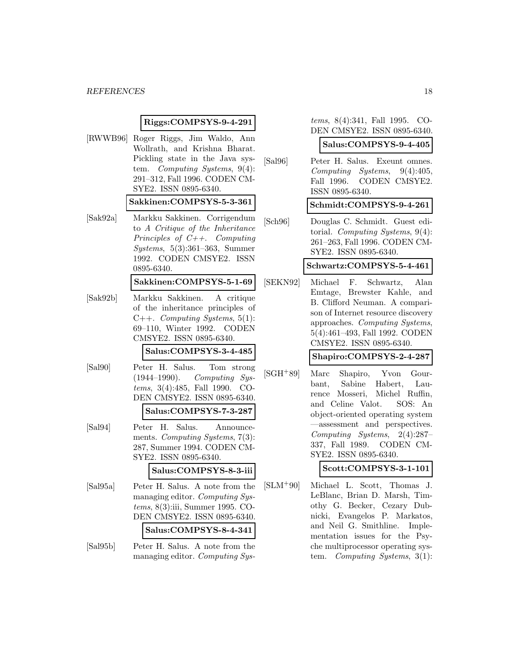#### *REFERENCES* 18

#### **Riggs:COMPSYS-9-4-291**

[RWWB96] Roger Riggs, Jim Waldo, Ann Wollrath, and Krishna Bharat. Pickling state in the Java system. Computing Systems, 9(4): 291–312, Fall 1996. CODEN CM-SYE2. ISSN 0895-6340. **Sakkinen:COMPSYS-5-3-361** [Sak92a] Markku Sakkinen. Corrigendum to A Critique of the Inheritance Principles of C++. Computing Systems, 5(3):361–363, Summer 1992. CODEN CMSYE2. ISSN 0895-6340. **Sakkinen:COMPSYS-5-1-69** [Sak92b] Markku Sakkinen. A critique of the inheritance principles of  $C++$ . *Computing Systems*, 5(1): 69–110, Winter 1992. CODEN CMSYE2. ISSN 0895-6340. **Salus:COMPSYS-3-4-485** [Sal90] Peter H. Salus. Tom strong (1944–1990). Computing Systems, 3(4):485, Fall 1990. CO-DEN CMSYE2. ISSN 0895-6340. **Salus:COMPSYS-7-3-287** [Sal94] Peter H. Salus. Announcements. Computing Systems, 7(3): 287, Summer 1994. CODEN CM-SYE2. ISSN 0895-6340. **Salus:COMPSYS-8-3-iii** [Sal95a] Peter H. Salus. A note from the managing editor. Computing Systems, 8(3):iii, Summer 1995. CO-DEN CMSYE2. ISSN 0895-6340. **Salus:COMPSYS-8-4-341** [Sal95b] Peter H. Salus. A note from the managing editor. Computing Systems, 8(4):341, Fall 1995. CO-DEN CMSYE2. ISSN 0895-6340.

| Salus:COMPSYS-9-4-405 |
|-----------------------|
|-----------------------|

[Sal96] Peter H. Salus. Exeunt omnes. Computing Systems, 9(4):405, Fall 1996. CODEN CMSYE2. ISSN 0895-6340.

**Schmidt:COMPSYS-9-4-261**

[Sch96] Douglas C. Schmidt. Guest editorial. Computing Systems, 9(4): 261–263, Fall 1996. CODEN CM-SYE2. ISSN 0895-6340.

#### **Schwartz:COMPSYS-5-4-461**

[SEKN92] Michael F. Schwartz, Alan Emtage, Brewster Kahle, and B. Clifford Neuman. A comparison of Internet resource discovery approaches. Computing Systems, 5(4):461–493, Fall 1992. CODEN CMSYE2. ISSN 0895-6340.

**Shapiro:COMPSYS-2-4-287**

[SGH<sup>+</sup>89] Marc Shapiro, Yvon Gourbant, Sabine Habert, Laurence Mosseri, Michel Ruffin, and Celine Valot. SOS: An object-oriented operating system —assessment and perspectives. Computing Systems, 2(4):287– 337, Fall 1989. CODEN CM-SYE2. ISSN 0895-6340.

**Scott:COMPSYS-3-1-101**

[SLM<sup>+</sup>90] Michael L. Scott, Thomas J. LeBlanc, Brian D. Marsh, Timothy G. Becker, Cezary Dubnicki, Evangelos P. Markatos, and Neil G. Smithline. Implementation issues for the Psyche multiprocessor operating system. Computing Systems, 3(1):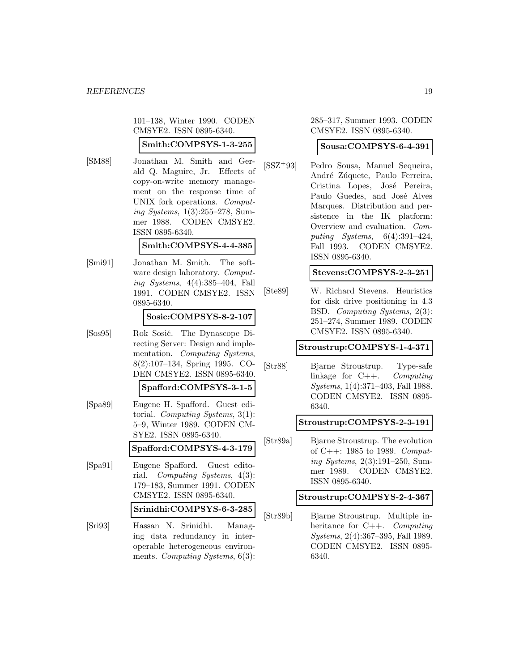101–138, Winter 1990. CODEN CMSYE2. ISSN 0895-6340.

## **Smith:COMPSYS-1-3-255**

[SM88] Jonathan M. Smith and Gerald Q. Maguire, Jr. Effects of copy-on-write memory management on the response time of UNIX fork operations. Computing Systems, 1(3):255–278, Summer 1988. CODEN CMSYE2. ISSN 0895-6340.

### **Smith:COMPSYS-4-4-385**

[Smi91] Jonathan M. Smith. The software design laboratory. *Comput*ing Systems, 4(4):385–404, Fall 1991. CODEN CMSYE2. ISSN 0895-6340.

#### **Sosic:COMPSYS-8-2-107**

[Sos95] Rok Sosič. The Dynascope Directing Server: Design and implementation. Computing Systems, 8(2):107–134, Spring 1995. CO-DEN CMSYE2. ISSN 0895-6340.

## **Spafford:COMPSYS-3-1-5**

[Spa89] Eugene H. Spafford. Guest editorial. Computing Systems, 3(1): 5–9, Winter 1989. CODEN CM-SYE2. ISSN 0895-6340.

### **Spafford:COMPSYS-4-3-179**

[Spa91] Eugene Spafford. Guest editorial. Computing Systems, 4(3): 179–183, Summer 1991. CODEN CMSYE2. ISSN 0895-6340.

### **Srinidhi:COMPSYS-6-3-285**

[Sri93] Hassan N. Srinidhi. Managing data redundancy in interoperable heterogeneous environments. *Computing Systems*, 6(3): 285–317, Summer 1993. CODEN CMSYE2. ISSN 0895-6340.

## **Sousa:COMPSYS-6-4-391**

[SSZ<sup>+</sup>93] Pedro Sousa, Manuel Sequeira, André Zúquete, Paulo Ferreira, Cristina Lopes, José Pereira, Paulo Guedes, and José Alves Marques. Distribution and persistence in the IK platform: Overview and evaluation. Computing Systems, 6(4):391–424, Fall 1993. CODEN CMSYE2. ISSN 0895-6340.

## **Stevens:COMPSYS-2-3-251**

[Ste89] W. Richard Stevens. Heuristics for disk drive positioning in 4.3 BSD. Computing Systems, 2(3): 251–274, Summer 1989. CODEN CMSYE2. ISSN 0895-6340.

### **Stroustrup:COMPSYS-1-4-371**

[Str88] Bjarne Stroustrup. Type-safe linkage for C++. Computing Systems, 1(4):371–403, Fall 1988. CODEN CMSYE2. ISSN 0895- 6340.

### **Stroustrup:COMPSYS-2-3-191**

[Str89a] Bjarne Stroustrup. The evolution of C++: 1985 to 1989. Computing Systems, 2(3):191–250, Summer 1989. CODEN CMSYE2. ISSN 0895-6340.

### **Stroustrup:COMPSYS-2-4-367**

[Str89b] Bjarne Stroustrup. Multiple inheritance for C++. Computing Systems, 2(4):367–395, Fall 1989. CODEN CMSYE2. ISSN 0895- 6340.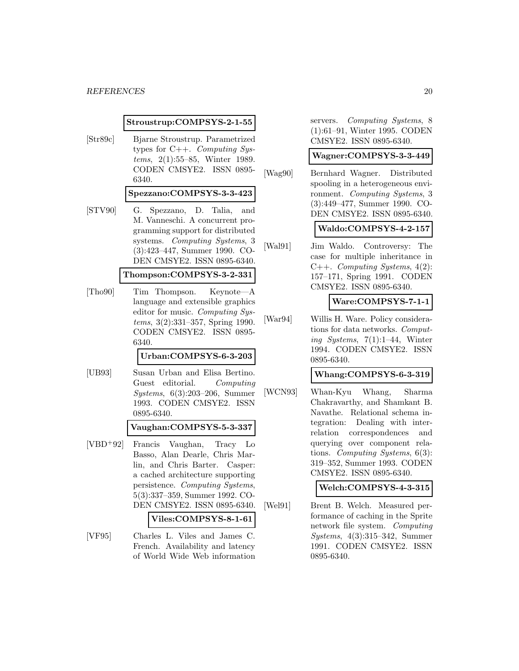**Stroustrup:COMPSYS-2-1-55**

[Str89c] Bjarne Stroustrup. Parametrized types for C++. Computing Systems, 2(1):55–85, Winter 1989. CODEN CMSYE2. ISSN 0895- 6340.

#### **Spezzano:COMPSYS-3-3-423**

[STV90] G. Spezzano, D. Talia, and M. Vanneschi. A concurrent programming support for distributed systems. Computing Systems, 3 (3):423–447, Summer 1990. CO-DEN CMSYE2. ISSN 0895-6340.

### **Thompson:COMPSYS-3-2-331**

[Tho90] Tim Thompson. Keynote—A language and extensible graphics editor for music. Computing Systems, 3(2):331–357, Spring 1990. CODEN CMSYE2. ISSN 0895- 6340.

#### **Urban:COMPSYS-6-3-203**

[UB93] Susan Urban and Elisa Bertino. Guest editorial. Computing Systems, 6(3):203–206, Summer 1993. CODEN CMSYE2. ISSN 0895-6340.

#### **Vaughan:COMPSYS-5-3-337**

[VBD<sup>+</sup>92] Francis Vaughan, Tracy Lo Basso, Alan Dearle, Chris Marlin, and Chris Barter. Casper: a cached architecture supporting persistence. Computing Systems, 5(3):337–359, Summer 1992. CO-DEN CMSYE2. ISSN 0895-6340.

## **Viles:COMPSYS-8-1-61**

[VF95] Charles L. Viles and James C. French. Availability and latency of World Wide Web information servers. Computing Systems, 8 (1):61–91, Winter 1995. CODEN CMSYE2. ISSN 0895-6340.

#### **Wagner:COMPSYS-3-3-449**

[Wag90] Bernhard Wagner. Distributed spooling in a heterogeneous environment. Computing Systems, 3 (3):449–477, Summer 1990. CO-DEN CMSYE2. ISSN 0895-6340.

## **Waldo:COMPSYS-4-2-157**

[Wal91] Jim Waldo. Controversy: The case for multiple inheritance in C++. Computing Systems, 4(2): 157–171, Spring 1991. CODEN CMSYE2. ISSN 0895-6340.

## **Ware:COMPSYS-7-1-1**

[War94] Willis H. Ware. Policy considerations for data networks. Computing Systems,  $7(1):1-44$ , Winter 1994. CODEN CMSYE2. ISSN 0895-6340.

## **Whang:COMPSYS-6-3-319**

[WCN93] Whan-Kyu Whang, Sharma Chakravarthy, and Shamkant B. Navathe. Relational schema integration: Dealing with interrelation correspondences and querying over component relations. Computing Systems, 6(3): 319–352, Summer 1993. CODEN CMSYE2. ISSN 0895-6340.

### **Welch:COMPSYS-4-3-315**

[Wel91] Brent B. Welch. Measured performance of caching in the Sprite network file system. Computing Systems, 4(3):315–342, Summer 1991. CODEN CMSYE2. ISSN 0895-6340.